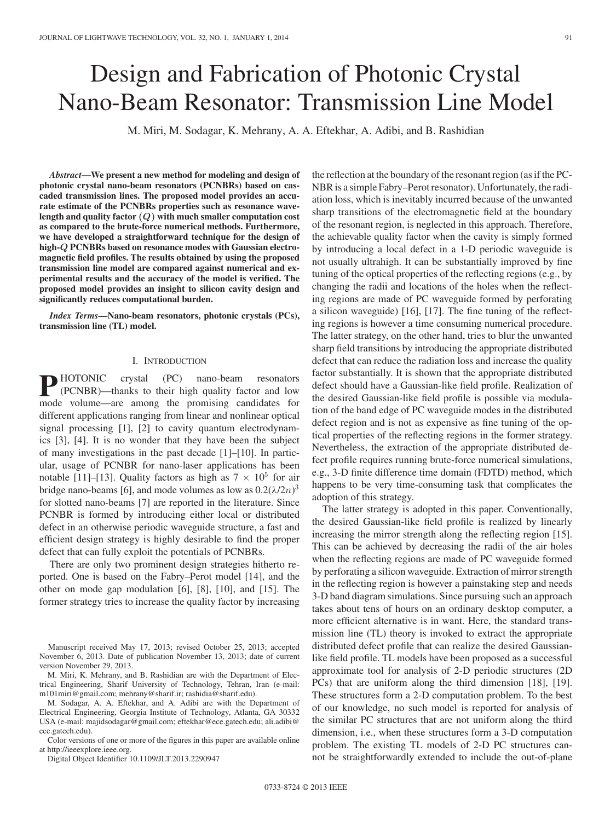# Design and Fabrication of Photonic Crystal Nano-Beam Resonator: Transmission Line Model

M. Miri, M. Sodagar, K. Mehrany, A. A. Eftekhar, A. Adibi, and B. Rashidian

*Abstract***—We present a new method for modeling and design of photonic crystal nano-beam resonators (PCNBRs) based on cascaded transmission lines. The proposed model provides an accurate estimate of the PCNBRs properties such as resonance wavelength and quality factor (***Q***) with much smaller computation cost as compared to the brute-force numerical methods. Furthermore, we have developed a straightforward technique for the design of high-***Q* **PCNBRs based on resonance modes with Gaussian electromagnetic field profiles. The results obtained by using the proposed transmission line model are compared against numerical and experimental results and the accuracy of the model is verified. The proposed model provides an insight to silicon cavity design and significantly reduces computational burden.**

*Index Terms***—Nano-beam resonators, photonic crystals (PCs), transmission line (TL) model.**

## I. INTRODUCTION

**P** HOTONIC crystal (PC) nano-beam resonators<br>
(PCNBR)—thanks to their high quality factor and low<br>
mode volume are smong the promising condidates for mode volume—are among the promising candidates for different applications ranging from linear and nonlinear optical signal processing [1], [2] to cavity quantum electrodynamics [3], [4]. It is no wonder that they have been the subject of many investigations in the past decade [1]–[10]. In particular, usage of PCNBR for nano-laser applications has been notable [11]–[13]. Quality factors as high as  $7 \times 10^5$  for air bridge nano-beams [6], and mode volumes as low as  $0.2(\lambda/2n)^3$ for slotted nano-beams [7] are reported in the literature. Since PCNBR is formed by introducing either local or distributed defect in an otherwise periodic waveguide structure, a fast and efficient design strategy is highly desirable to find the proper defect that can fully exploit the potentials of PCNBRs.

There are only two prominent design strategies hitherto reported. One is based on the Fabry–Perot model [14], and the other on mode gap modulation [6], [8], [10], and [15]. The former strategy tries to increase the quality factor by increasing

Color versions of one or more of the figures in this paper are available online at http://ieeexplore.ieee.org.

Digital Object Identifier 10.1109/JLT.2013.2290947

the reflection at the boundary of the resonant region (as if the PC-NBR is a simple Fabry–Perot resonator). Unfortunately, the radiation loss, which is inevitably incurred because of the unwanted sharp transitions of the electromagnetic field at the boundary of the resonant region, is neglected in this approach. Therefore, the achievable quality factor when the cavity is simply formed by introducing a local defect in a 1-D periodic waveguide is not usually ultrahigh. It can be substantially improved by fine tuning of the optical properties of the reflecting regions (e.g., by changing the radii and locations of the holes when the reflecting regions are made of PC waveguide formed by perforating a silicon waveguide) [16], [17]. The fine tuning of the reflecting regions is however a time consuming numerical procedure. The latter strategy, on the other hand, tries to blur the unwanted sharp field transitions by introducing the appropriate distributed defect that can reduce the radiation loss and increase the quality factor substantially. It is shown that the appropriate distributed defect should have a Gaussian-like field profile. Realization of the desired Gaussian-like field profile is possible via modulation of the band edge of PC waveguide modes in the distributed defect region and is not as expensive as fine tuning of the optical properties of the reflecting regions in the former strategy. Nevertheless, the extraction of the appropriate distributed defect profile requires running brute-force numerical simulations, e.g., 3-D finite difference time domain (FDTD) method, which happens to be very time-consuming task that complicates the adoption of this strategy.

The latter strategy is adopted in this paper. Conventionally, the desired Gaussian-like field profile is realized by linearly increasing the mirror strength along the reflecting region [15]. This can be achieved by decreasing the radii of the air holes when the reflecting regions are made of PC waveguide formed by perforating a silicon waveguide. Extraction of mirror strength in the reflecting region is however a painstaking step and needs 3-D band diagram simulations. Since pursuing such an approach takes about tens of hours on an ordinary desktop computer, a more efficient alternative is in want. Here, the standard transmission line (TL) theory is invoked to extract the appropriate distributed defect profile that can realize the desired Gaussianlike field profile. TL models have been proposed as a successful approximate tool for analysis of 2-D periodic structures (2D PCs) that are uniform along the third dimension [18], [19]. These structures form a 2-D computation problem. To the best of our knowledge, no such model is reported for analysis of the similar PC structures that are not uniform along the third dimension, i.e., when these structures form a 3-D computation problem. The existing TL models of 2-D PC structures cannot be straightforwardly extended to include the out-of-plane

Manuscript received May 17, 2013; revised October 25, 2013; accepted November 6, 2013. Date of publication November 13, 2013; date of current version November 29, 2013.

M. Miri, K. Mehrany, and B. Rashidian are with the Department of Electrical Engineering, Sharif University of Technology, Tehran, Iran (e-mail: m101miri@gmail.com; mehrany@sharif.ir; rashidia@sharif.edu).

M. Sodagar, A. A. Eftekhar, and A. Adibi are with the Department of Electrical Engineering, Georgia Institute of Technology, Atlanta, GA 30332 USA (e-mail: majidsodagar@gmail.com; eftekhar@ece.gatech.edu; ali.adibi@ ece.gatech.edu).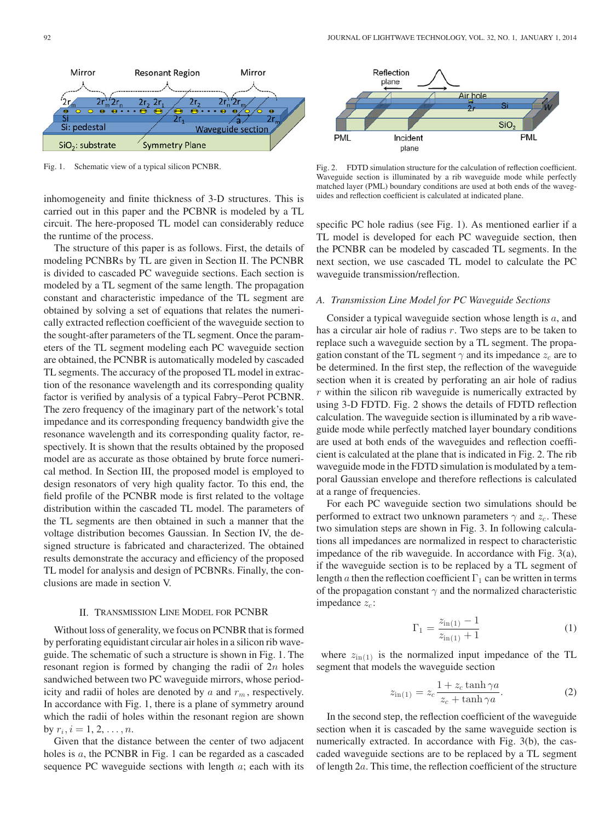

Fig. 1. Schematic view of a typical silicon PCNBR.

inhomogeneity and finite thickness of 3-D structures. This is carried out in this paper and the PCBNR is modeled by a TL circuit. The here-proposed TL model can considerably reduce the runtime of the process.

The structure of this paper is as follows. First, the details of modeling PCNBRs by TL are given in Section II. The PCNBR is divided to cascaded PC waveguide sections. Each section is modeled by a TL segment of the same length. The propagation constant and characteristic impedance of the TL segment are obtained by solving a set of equations that relates the numerically extracted reflection coefficient of the waveguide section to the sought-after parameters of the TL segment. Once the parameters of the TL segment modeling each PC waveguide section are obtained, the PCNBR is automatically modeled by cascaded TL segments. The accuracy of the proposed TL model in extraction of the resonance wavelength and its corresponding quality factor is verified by analysis of a typical Fabry–Perot PCBNR. The zero frequency of the imaginary part of the network's total impedance and its corresponding frequency bandwidth give the resonance wavelength and its corresponding quality factor, respectively. It is shown that the results obtained by the proposed model are as accurate as those obtained by brute force numerical method. In Section III, the proposed model is employed to design resonators of very high quality factor. To this end, the field profile of the PCNBR mode is first related to the voltage distribution within the cascaded TL model. The parameters of the TL segments are then obtained in such a manner that the voltage distribution becomes Gaussian. In Section IV, the designed structure is fabricated and characterized. The obtained results demonstrate the accuracy and efficiency of the proposed TL model for analysis and design of PCBNRs. Finally, the conclusions are made in section V.

## II. TRANSMISSION LINE MODEL FOR PCNBR

Without loss of generality, we focus on PCNBR that is formed by perforating equidistant circular air holes in a silicon rib waveguide. The schematic of such a structure is shown in Fig. 1. The resonant region is formed by changing the radii of  $2n$  holes sandwiched between two PC waveguide mirrors, whose periodicity and radii of holes are denoted by  $a$  and  $r_m$ , respectively. In accordance with Fig. 1, there is a plane of symmetry around which the radii of holes within the resonant region are shown by  $r_i, i = 1, 2, \ldots, n$ .

Given that the distance between the center of two adjacent holes is a, the PCNBR in Fig. 1 can be regarded as a cascaded sequence PC waveguide sections with length  $a$ ; each with its



Fig. 2. FDTD simulation structure for the calculation of reflection coefficient. Waveguide section is illuminated by a rib waveguide mode while perfectly matched layer (PML) boundary conditions are used at both ends of the waveguides and reflection coefficient is calculated at indicated plane.

specific PC hole radius (see Fig. 1). As mentioned earlier if a TL model is developed for each PC waveguide section, then the PCNBR can be modeled by cascaded TL segments. In the next section, we use cascaded TL model to calculate the PC waveguide transmission/reflection.

## *A. Transmission Line Model for PC Waveguide Sections*

Consider a typical waveguide section whose length is a, and has a circular air hole of radius r. Two steps are to be taken to replace such a waveguide section by a TL segment. The propagation constant of the TL segment  $\gamma$  and its impedance  $z_c$  are to be determined. In the first step, the reflection of the waveguide section when it is created by perforating an air hole of radius  $r$  within the silicon rib waveguide is numerically extracted by using 3-D FDTD. Fig. 2 shows the details of FDTD reflection calculation. The waveguide section is illuminated by a rib waveguide mode while perfectly matched layer boundary conditions are used at both ends of the waveguides and reflection coefficient is calculated at the plane that is indicated in Fig. 2. The rib waveguide mode in the FDTD simulation is modulated by a temporal Gaussian envelope and therefore reflections is calculated at a range of frequencies.

For each PC waveguide section two simulations should be performed to extract two unknown parameters  $\gamma$  and  $z_c$ . These two simulation steps are shown in Fig. 3. In following calculations all impedances are normalized in respect to characteristic impedance of the rib waveguide. In accordance with Fig. 3(a), if the waveguide section is to be replaced by a TL segment of length a then the reflection coefficient  $\Gamma_1$  can be written in terms of the propagation constant  $\gamma$  and the normalized characteristic impedance  $z_c$ :

$$
\Gamma_1 = \frac{z_{\text{in}(1)} - 1}{z_{\text{in}(1)} + 1} \tag{1}
$$

where  $z_{\text{in}(1)}$  is the normalized input impedance of the TL segment that models the waveguide section

$$
z_{\text{in}(1)} = z_c \frac{1 + z_c \tanh \gamma a}{z_c + \tanh \gamma a}.
$$
 (2)

In the second step, the reflection coefficient of the waveguide section when it is cascaded by the same waveguide section is numerically extracted. In accordance with Fig. 3(b), the cascaded waveguide sections are to be replaced by a TL segment of length 2a. This time, the reflection coefficient of the structure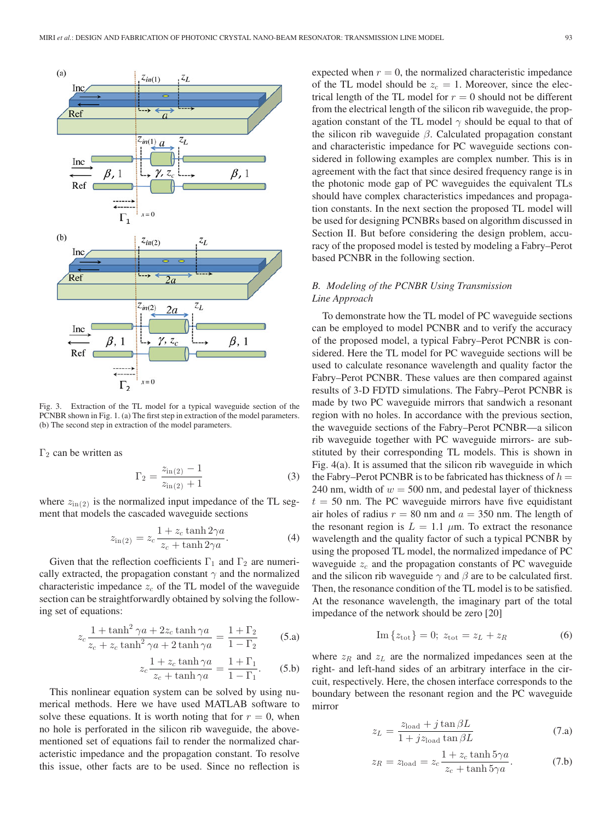

Fig. 3. Extraction of the TL model for a typical waveguide section of the PCNBR shown in Fig. 1. (a) The first step in extraction of the model parameters. (b) The second step in extraction of the model parameters.

 $\Gamma_2$  can be written as

$$
\Gamma_2 = \frac{z_{\text{in}(2)} - 1}{z_{\text{in}(2)} + 1} \tag{3}
$$

where  $z_{\text{in}(2)}$  is the normalized input impedance of the TL segment that models the cascaded waveguide sections

$$
z_{\rm in(2)} = z_c \frac{1 + z_c \tanh 2\gamma a}{z_c + \tanh 2\gamma a}.\tag{4}
$$

Given that the reflection coefficients  $\Gamma_1$  and  $\Gamma_2$  are numerically extracted, the propagation constant  $\gamma$  and the normalized characteristic impedance  $z_c$  of the TL model of the waveguide section can be straightforwardly obtained by solving the following set of equations:

$$
z_c \frac{1 + \tanh^2 \gamma a + 2z_c \tanh \gamma a}{z_c + z_c \tanh^2 \gamma a + 2 \tanh \gamma a} = \frac{1 + \Gamma_2}{1 - \Gamma_2}
$$
 (5.a)

$$
z_c \frac{1 + z_c \tanh \gamma a}{z_c + \tanh \gamma a} = \frac{1 + \Gamma_1}{1 - \Gamma_1}.
$$
 (5.b)

This nonlinear equation system can be solved by using numerical methods. Here we have used MATLAB software to solve these equations. It is worth noting that for  $r = 0$ , when no hole is perforated in the silicon rib waveguide, the abovementioned set of equations fail to render the normalized characteristic impedance and the propagation constant. To resolve this issue, other facts are to be used. Since no reflection is expected when  $r = 0$ , the normalized characteristic impedance of the TL model should be  $z_c = 1$ . Moreover, since the electrical length of the TL model for  $r = 0$  should not be different from the electrical length of the silicon rib waveguide, the propagation constant of the TL model  $\gamma$  should be equal to that of the silicon rib waveguide  $\beta$ . Calculated propagation constant and characteristic impedance for PC waveguide sections considered in following examples are complex number. This is in agreement with the fact that since desired frequency range is in the photonic mode gap of PC waveguides the equivalent TLs should have complex characteristics impedances and propagation constants. In the next section the proposed TL model will be used for designing PCNBRs based on algorithm discussed in Section II. But before considering the design problem, accuracy of the proposed model is tested by modeling a Fabry–Perot based PCNBR in the following section.

# *B. Modeling of the PCNBR Using Transmission Line Approach*

To demonstrate how the TL model of PC waveguide sections can be employed to model PCNBR and to verify the accuracy of the proposed model, a typical Fabry–Perot PCNBR is considered. Here the TL model for PC waveguide sections will be used to calculate resonance wavelength and quality factor the Fabry–Perot PCNBR. These values are then compared against results of 3-D FDTD simulations. The Fabry–Perot PCNBR is made by two PC waveguide mirrors that sandwich a resonant region with no holes. In accordance with the previous section, the waveguide sections of the Fabry–Perot PCNBR—a silicon rib waveguide together with PC waveguide mirrors- are substituted by their corresponding TL models. This is shown in Fig. 4(a). It is assumed that the silicon rib waveguide in which the Fabry–Perot PCNBR is to be fabricated has thickness of  $h =$ 240 nm, width of  $w = 500$  nm, and pedestal layer of thickness  $t = 50$  nm. The PC waveguide mirrors have five equidistant air holes of radius  $r = 80$  nm and  $a = 350$  nm. The length of the resonant region is  $L = 1.1 \mu m$ . To extract the resonance wavelength and the quality factor of such a typical PCNBR by using the proposed TL model, the normalized impedance of PC waveguide  $z_c$  and the propagation constants of PC waveguide and the silicon rib waveguide  $\gamma$  and  $\beta$  are to be calculated first. Then, the resonance condition of the TL model is to be satisfied. At the resonance wavelength, the imaginary part of the total impedance of the network should be zero [20]

Im 
$$
\{z_{\text{tot}}\} = 0
$$
;  $z_{\text{tot}} = z_L + z_R$  (6)

where  $z_R$  and  $z_L$  are the normalized impedances seen at the right- and left-hand sides of an arbitrary interface in the circuit, respectively. Here, the chosen interface corresponds to the boundary between the resonant region and the PC waveguide mirror

$$
z_L = \frac{z_{\text{load}} + j \tan \beta L}{1 + j z_{\text{load}} \tan \beta L} \tag{7.1}
$$

$$
z_R = z_{\text{load}} = z_c \frac{1 + z_c \tanh 5\gamma a}{z_c + \tanh 5\gamma a}.\tag{7.b}
$$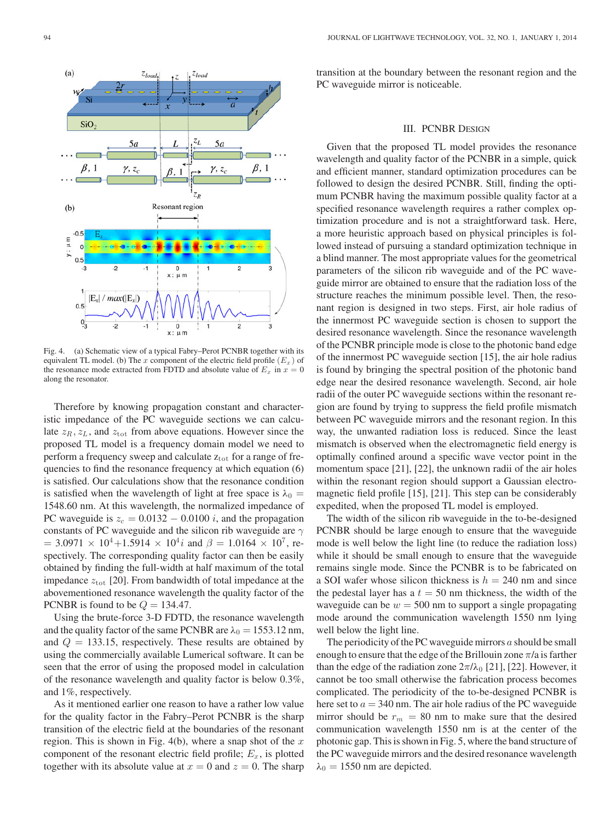

Fig. 4. (a) Schematic view of a typical Fabry–Perot PCNBR together with its equivalent TL model. (b) The x component of the electric field profile  $(E_x)$  of the resonance mode extracted from FDTD and absolute value of  $E_x$  in  $x = 0$ along the resonator.

Therefore by knowing propagation constant and characteristic impedance of the PC waveguide sections we can calculate  $z_R, z_L$ , and  $z_{\text{tot}}$  from above equations. However since the proposed TL model is a frequency domain model we need to perform a frequency sweep and calculate  $z<sub>tot</sub>$  for a range of frequencies to find the resonance frequency at which equation (6) is satisfied. Our calculations show that the resonance condition is satisfied when the wavelength of light at free space is  $\lambda_0 =$ 1548.60 nm. At this wavelength, the normalized impedance of PC waveguide is  $z_c = 0.0132 - 0.0100 i$ , and the propagation constants of PC waveguide and the silicon rib waveguide are  $\gamma$  $= 3.0971 \times 10^4 + 1.5914 \times 10^4 i$  and  $\beta = 1.0164 \times 10^7$ , respectively. The corresponding quality factor can then be easily obtained by finding the full-width at half maximum of the total impedance  $z<sub>tot</sub>$  [20]. From bandwidth of total impedance at the abovementioned resonance wavelength the quality factor of the PCNBR is found to be  $Q = 134.47$ .

Using the brute-force 3-D FDTD, the resonance wavelength and the quality factor of the same PCNBR are  $\lambda_0 = 1553.12$  nm, and  $Q = 133.15$ , respectively. These results are obtained by using the commercially available Lumerical software. It can be seen that the error of using the proposed model in calculation of the resonance wavelength and quality factor is below 0.3%, and 1%, respectively.

As it mentioned earlier one reason to have a rather low value for the quality factor in the Fabry–Perot PCNBR is the sharp transition of the electric field at the boundaries of the resonant region. This is shown in Fig. 4(b), where a snap shot of the  $x$ component of the resonant electric field profile;  $E<sub>x</sub>$ , is plotted together with its absolute value at  $x = 0$  and  $z = 0$ . The sharp transition at the boundary between the resonant region and the PC waveguide mirror is noticeable.

### III. PCNBR DESIGN

Given that the proposed TL model provides the resonance wavelength and quality factor of the PCNBR in a simple, quick and efficient manner, standard optimization procedures can be followed to design the desired PCNBR. Still, finding the optimum PCNBR having the maximum possible quality factor at a specified resonance wavelength requires a rather complex optimization procedure and is not a straightforward task. Here, a more heuristic approach based on physical principles is followed instead of pursuing a standard optimization technique in a blind manner. The most appropriate values for the geometrical parameters of the silicon rib waveguide and of the PC waveguide mirror are obtained to ensure that the radiation loss of the structure reaches the minimum possible level. Then, the resonant region is designed in two steps. First, air hole radius of the innermost PC waveguide section is chosen to support the desired resonance wavelength. Since the resonance wavelength of the PCNBR principle mode is close to the photonic band edge of the innermost PC waveguide section [15], the air hole radius is found by bringing the spectral position of the photonic band edge near the desired resonance wavelength. Second, air hole radii of the outer PC waveguide sections within the resonant region are found by trying to suppress the field profile mismatch between PC waveguide mirrors and the resonant region. In this way, the unwanted radiation loss is reduced. Since the least mismatch is observed when the electromagnetic field energy is optimally confined around a specific wave vector point in the momentum space [21], [22], the unknown radii of the air holes within the resonant region should support a Gaussian electromagnetic field profile [15], [21]. This step can be considerably expedited, when the proposed TL model is employed.

The width of the silicon rib waveguide in the to-be-designed PCNBR should be large enough to ensure that the waveguide mode is well below the light line (to reduce the radiation loss) while it should be small enough to ensure that the waveguide remains single mode. Since the PCNBR is to be fabricated on a SOI wafer whose silicon thickness is  $h = 240$  nm and since the pedestal layer has a  $t = 50$  nm thickness, the width of the waveguide can be  $w = 500$  nm to support a single propagating mode around the communication wavelength 1550 nm lying well below the light line.

The periodicity of the PC waveguide mirrors  $a$  should be small enough to ensure that the edge of the Brillouin zone  $\pi/a$  is farther than the edge of the radiation zone  $2\pi/\lambda_0$  [21], [22]. However, it cannot be too small otherwise the fabrication process becomes complicated. The periodicity of the to-be-designed PCNBR is here set to  $a = 340$  nm. The air hole radius of the PC waveguide mirror should be  $r_m = 80$  nm to make sure that the desired communication wavelength 1550 nm is at the center of the photonic gap. This is shown in Fig. 5, where the band structure of the PC waveguide mirrors and the desired resonance wavelength  $\lambda_0 = 1550$  nm are depicted.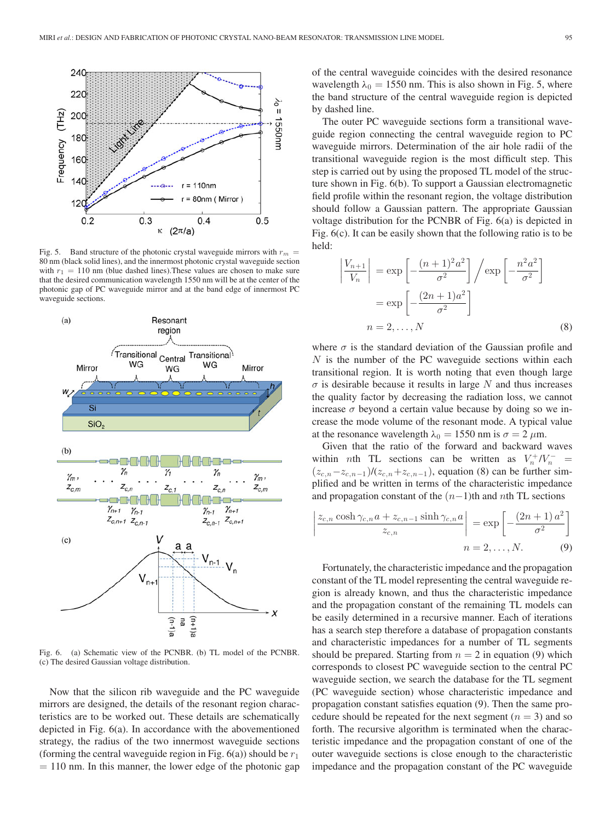

Fig. 5. Band structure of the photonic crystal waveguide mirrors with  $r_m =$ 80 nm (black solid lines), and the innermost photonic crystal waveguide section with  $r_1 = 110$  nm (blue dashed lines). These values are chosen to make sure that the desired communication wavelength 1550 nm will be at the center of the photonic gap of PC waveguide mirror and at the band edge of innermost PC waveguide sections.



Fig. 6. (a) Schematic view of the PCNBR. (b) TL model of the PCNBR. (c) The desired Gaussian voltage distribution.

Now that the silicon rib waveguide and the PC waveguide mirrors are designed, the details of the resonant region characteristics are to be worked out. These details are schematically depicted in Fig. 6(a). In accordance with the abovementioned strategy, the radius of the two innermost waveguide sections (forming the central waveguide region in Fig.  $6(a)$ ) should be  $r_1$  $= 110$  nm. In this manner, the lower edge of the photonic gap of the central waveguide coincides with the desired resonance wavelength  $\lambda_0 = 1550$  nm. This is also shown in Fig. 5, where the band structure of the central waveguide region is depicted by dashed line.

The outer PC waveguide sections form a transitional waveguide region connecting the central waveguide region to PC waveguide mirrors. Determination of the air hole radii of the transitional waveguide region is the most difficult step. This step is carried out by using the proposed TL model of the structure shown in Fig. 6(b). To support a Gaussian electromagnetic field profile within the resonant region, the voltage distribution should follow a Gaussian pattern. The appropriate Gaussian voltage distribution for the PCNBR of Fig. 6(a) is depicted in Fig. 6(c). It can be easily shown that the following ratio is to be held:

$$
\left|\frac{V_{n+1}}{V_n}\right| = \exp\left[-\frac{(n+1)^2a^2}{\sigma^2}\right] / \exp\left[-\frac{n^2a^2}{\sigma^2}\right]
$$

$$
= \exp\left[-\frac{(2n+1)a^2}{\sigma^2}\right]
$$

$$
n = 2, ..., N
$$
(8)

where  $\sigma$  is the standard deviation of the Gaussian profile and  $N$  is the number of the PC waveguide sections within each transitional region. It is worth noting that even though large  $\sigma$  is desirable because it results in large N and thus increases the quality factor by decreasing the radiation loss, we cannot increase  $\sigma$  beyond a certain value because by doing so we increase the mode volume of the resonant mode. A typical value at the resonance wavelength  $\lambda_0 = 1550$  nm is  $\sigma = 2 \mu$ m.

Given that the ratio of the forward and backward waves within nth TL sections can be written as  $V_n^+ / V_n^-$  =  $(z_{c,n}-z_{c,n-1})/(z_{c,n}+z_{c,n-1})$ , equation (8) can be further simplified and be written in terms of the characteristic impedance and propagation constant of the  $(n-1)$ th and *n*th TL sections

$$
\left| \frac{z_{c,n} \cosh \gamma_{c,n} a + z_{c,n-1} \sinh \gamma_{c,n} a}{z_{c,n}} \right| = \exp \left[ -\frac{(2n+1) a^2}{\sigma^2} \right]
$$

$$
n = 2, ..., N. \tag{9}
$$

Fortunately, the characteristic impedance and the propagation constant of the TL model representing the central waveguide region is already known, and thus the characteristic impedance and the propagation constant of the remaining TL models can be easily determined in a recursive manner. Each of iterations has a search step therefore a database of propagation constants and characteristic impedances for a number of TL segments should be prepared. Starting from  $n = 2$  in equation (9) which corresponds to closest PC waveguide section to the central PC waveguide section, we search the database for the TL segment (PC waveguide section) whose characteristic impedance and propagation constant satisfies equation (9). Then the same procedure should be repeated for the next segment ( $n = 3$ ) and so forth. The recursive algorithm is terminated when the characteristic impedance and the propagation constant of one of the outer waveguide sections is close enough to the characteristic impedance and the propagation constant of the PC waveguide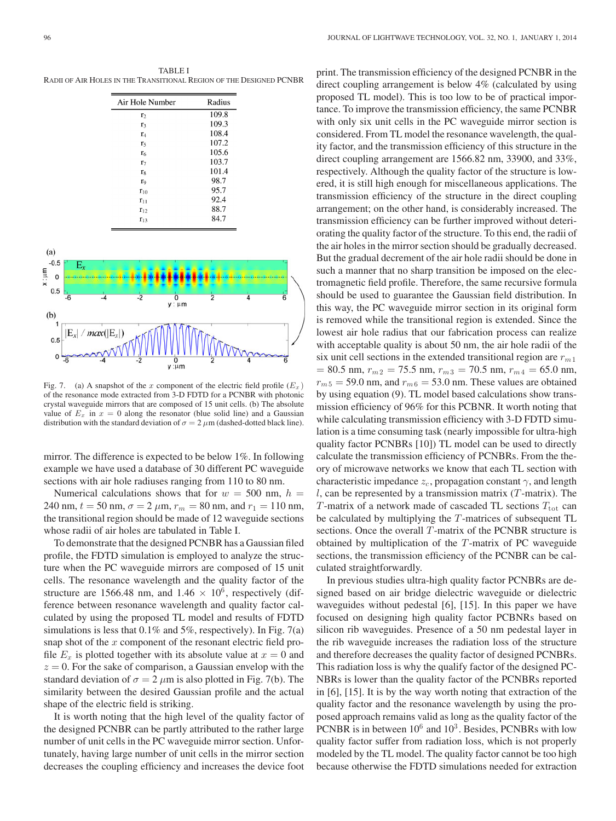TABLE I RADII OF AIR HOLES IN THE TRANSITIONAL REGION OF THE DESIGNED PCNBR

| Air Hole Number | Radius |
|-----------------|--------|
| r <sub>2</sub>  | 109.8  |
| r,              | 109.3  |
| r <sub>4</sub>  | 108.4  |
| r <sub>5</sub>  | 107.2  |
| r <sub>6</sub>  | 105.6  |
| r <sub>7</sub>  | 103.7  |
| $r_8$           | 101.4  |
| r <sub>9</sub>  | 98.7   |
| $r_{10}$        | 95.7   |
| $r_{11}$        | 92.4   |
| $r_{12}$        | 88.7   |
| $r_{13}$        | 84.7   |
|                 |        |



Fig. 7. (a) A snapshot of the x component of the electric field profile  $(E_x)$ of the resonance mode extracted from 3-D FDTD for a PCNBR with photonic crystal waveguide mirrors that are composed of 15 unit cells. (b) The absolute value of  $E_x$  in  $x = 0$  along the resonator (blue solid line) and a Gaussian distribution with the standard deviation of  $\sigma = 2 \mu m$  (dashed-dotted black line).

mirror. The difference is expected to be below 1%. In following example we have used a database of 30 different PC waveguide sections with air hole radiuses ranging from 110 to 80 nm.

Numerical calculations shows that for  $w = 500$  nm,  $h =$ 240 nm,  $t = 50$  nm,  $\sigma = 2 \mu$ m,  $r_m = 80$  nm, and  $r_1 = 110$  nm, the transitional region should be made of 12 waveguide sections whose radii of air holes are tabulated in Table I.

To demonstrate that the designed PCNBR has a Gaussian filed profile, the FDTD simulation is employed to analyze the structure when the PC waveguide mirrors are composed of 15 unit cells. The resonance wavelength and the quality factor of the structure are 1566.48 nm, and 1.46  $\times$  10<sup>6</sup>, respectively (difference between resonance wavelength and quality factor calculated by using the proposed TL model and results of FDTD simulations is less that 0.1% and 5%, respectively). In Fig. 7(a) snap shot of the x component of the resonant electric field profile  $E_x$  is plotted together with its absolute value at  $x = 0$  and  $z = 0$ . For the sake of comparison, a Gaussian envelop with the standard deviation of  $\sigma = 2 \mu m$  is also plotted in Fig. 7(b). The similarity between the desired Gaussian profile and the actual shape of the electric field is striking.

It is worth noting that the high level of the quality factor of the designed PCNBR can be partly attributed to the rather large number of unit cells in the PC waveguide mirror section. Unfortunately, having large number of unit cells in the mirror section decreases the coupling efficiency and increases the device foot

print. The transmission efficiency of the designed PCNBR in the direct coupling arrangement is below 4% (calculated by using proposed TL model). This is too low to be of practical importance. To improve the transmission efficiency, the same PCNBR with only six unit cells in the PC waveguide mirror section is considered. From TL model the resonance wavelength, the quality factor, and the transmission efficiency of this structure in the direct coupling arrangement are 1566.82 nm, 33900, and 33%, respectively. Although the quality factor of the structure is lowered, it is still high enough for miscellaneous applications. The transmission efficiency of the structure in the direct coupling arrangement; on the other hand, is considerably increased. The transmission efficiency can be further improved without deteriorating the quality factor of the structure. To this end, the radii of the air holes in the mirror section should be gradually decreased. But the gradual decrement of the air hole radii should be done in such a manner that no sharp transition be imposed on the electromagnetic field profile. Therefore, the same recursive formula should be used to guarantee the Gaussian field distribution. In this way, the PC waveguide mirror section in its original form is removed while the transitional region is extended. Since the lowest air hole radius that our fabrication process can realize with acceptable quality is about 50 nm, the air hole radii of the six unit cell sections in the extended transitional region are  $r_{m1}$  $= 80.5$  nm,  $r_{m2} = 75.5$  nm,  $r_{m3} = 70.5$  nm,  $r_{m4} = 65.0$  nm,  $r_{m5} = 59.0$  nm, and  $r_{m6} = 53.0$  nm. These values are obtained by using equation (9). TL model based calculations show transmission efficiency of 96% for this PCBNR. It worth noting that while calculating transmission efficiency with 3-D FDTD simulation is a time consuming task (nearly impossible for ultra-high quality factor PCNBRs [10]) TL model can be used to directly calculate the transmission efficiency of PCNBRs. From the theory of microwave networks we know that each TL section with characteristic impedance  $z_c$ , propagation constant  $\gamma$ , and length l, can be represented by a transmission matrix  $(T\text{-matrix})$ . The T-matrix of a network made of cascaded TL sections  $T_{\text{tot}}$  can be calculated by multiplying the T-matrices of subsequent TL sections. Once the overall T-matrix of the PCNBR structure is obtained by multiplication of the T-matrix of PC waveguide sections, the transmission efficiency of the PCNBR can be calculated straightforwardly.

In previous studies ultra-high quality factor PCNBRs are designed based on air bridge dielectric waveguide or dielectric waveguides without pedestal [6], [15]. In this paper we have focused on designing high quality factor PCBNRs based on silicon rib waveguides. Presence of a 50 nm pedestal layer in the rib waveguide increases the radiation loss of the structure and therefore decreases the quality factor of designed PCNBRs. This radiation loss is why the qualify factor of the designed PC-NBRs is lower than the quality factor of the PCNBRs reported in [6], [15]. It is by the way worth noting that extraction of the quality factor and the resonance wavelength by using the proposed approach remains valid as long as the quality factor of the PCNBR is in between  $10^6$  and  $10^3$ . Besides, PCNBRs with low quality factor suffer from radiation loss, which is not properly modeled by the TL model. The quality factor cannot be too high because otherwise the FDTD simulations needed for extraction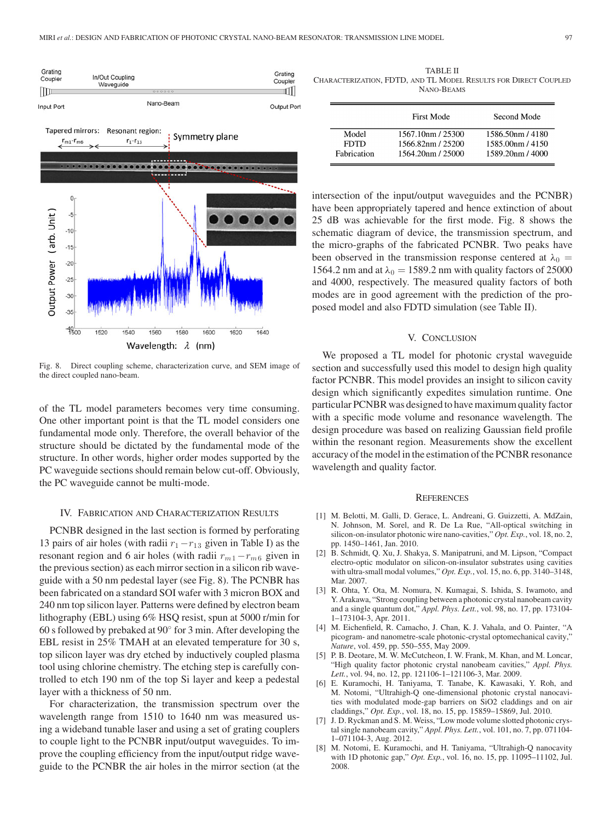

Fig. 8. Direct coupling scheme, characterization curve, and SEM image of the direct coupled nano-beam.

of the TL model parameters becomes very time consuming. One other important point is that the TL model considers one fundamental mode only. Therefore, the overall behavior of the structure should be dictated by the fundamental mode of the structure. In other words, higher order modes supported by the PC waveguide sections should remain below cut-off. Obviously, the PC waveguide cannot be multi-mode.

## IV. FABRICATION AND CHARACTERIZATION RESULTS

PCNBR designed in the last section is formed by perforating 13 pairs of air holes (with radii  $r_1 - r_{13}$  given in Table I) as the resonant region and 6 air holes (with radii  $r_{m1}-r_{m6}$  given in the previous section) as each mirror section in a silicon rib waveguide with a 50 nm pedestal layer (see Fig. 8). The PCNBR has been fabricated on a standard SOI wafer with 3 micron BOX and 240 nm top silicon layer. Patterns were defined by electron beam lithography (EBL) using 6% HSQ resist, spun at 5000 r/min for 60 s followed by prebaked at 90◦ for 3 min. After developing the EBL resist in 25% TMAH at an elevated temperature for 30 s, top silicon layer was dry etched by inductively coupled plasma tool using chlorine chemistry. The etching step is carefully controlled to etch 190 nm of the top Si layer and keep a pedestal layer with a thickness of 50 nm.

For characterization, the transmission spectrum over the wavelength range from 1510 to 1640 nm was measured using a wideband tunable laser and using a set of grating couplers to couple light to the PCNBR input/output waveguides. To improve the coupling efficiency from the input/output ridge waveguide to the PCNBR the air holes in the mirror section (at the

TABLE II CHARACTERIZATION, FDTD, AND TL MODEL RESULTS FOR DIRECT COUPLED NANO-BEAMS

|             | First Mode        | Second Mode      |
|-------------|-------------------|------------------|
| Model       | 1567.10nm / 25300 | 1586.50nm / 4180 |
| <b>FDTD</b> | 1566.82nm / 25200 | 1585.00nm / 4150 |
| Fabrication | 1564.20nm / 25000 | 1589.20nm / 4000 |

intersection of the input/output waveguides and the PCNBR) have been appropriately tapered and hence extinction of about 25 dB was achievable for the first mode. Fig. 8 shows the schematic diagram of device, the transmission spectrum, and the micro-graphs of the fabricated PCNBR. Two peaks have been observed in the transmission response centered at  $\lambda_0 =$ 1564.2 nm and at  $\lambda_0 = 1589.2$  nm with quality factors of 25000 and 4000, respectively. The measured quality factors of both modes are in good agreement with the prediction of the proposed model and also FDTD simulation (see Table II).

## V. CONCLUSION

We proposed a TL model for photonic crystal waveguide section and successfully used this model to design high quality factor PCNBR. This model provides an insight to silicon cavity design which significantly expedites simulation runtime. One particular PCNBR was designed to have maximum quality factor with a specific mode volume and resonance wavelength. The design procedure was based on realizing Gaussian field profile within the resonant region. Measurements show the excellent accuracy of the model in the estimation of the PCNBR resonance wavelength and quality factor.

#### **REFERENCES**

- [1] M. Belotti, M. Galli, D. Gerace, L. Andreani, G. Guizzetti, A. MdZain, N. Johnson, M. Sorel, and R. De La Rue, "All-optical switching in silicon-on-insulator photonic wire nano-cavities," *Opt. Exp.*, vol. 18, no. 2, pp. 1450–1461, Jan. 2010.
- [2] B. Schmidt, Q. Xu, J. Shakya, S. Manipatruni, and M. Lipson, "Compact electro-optic modulator on silicon-on-insulator substrates using cavities with ultra-small modal volumes," *Opt. Exp.*, vol. 15, no. 6, pp. 3140–3148, Mar. 2007.
- [3] R. Ohta, Y. Ota, M. Nomura, N. Kumagai, S. Ishida, S. Iwamoto, and Y. Arakawa, "Strong coupling between a photonic crystal nanobeam cavity and a single quantum dot," *Appl. Phys. Lett.*, vol. 98, no. 17, pp. 173104- 1–173104-3, Apr. 2011.
- [4] M. Eichenfield, R. Camacho, J. Chan, K. J. Vahala, and O. Painter, "A picogram- and nanometre-scale photonic-crystal optomechanical cavity," *Nature*, vol. 459, pp. 550–555, May 2009.
- [5] P. B. Deotare, M. W. McCutcheon, I. W. Frank, M. Khan, and M. Loncar, "High quality factor photonic crystal nanobeam cavities," *Appl. Phys. Lett.*, vol. 94, no. 12, pp. 121106-1–121106-3, Mar. 2009.
- [6] E. Kuramochi, H. Taniyama, T. Tanabe, K. Kawasaki, Y. Roh, and M. Notomi, "Ultrahigh-Q one-dimensional photonic crystal nanocavities with modulated mode-gap barriers on SiO2 claddings and on air claddings," *Opt. Exp.*, vol. 18, no. 15, pp. 15859–15869, Jul. 2010.
- [7] J. D. Ryckman and S. M. Weiss, "Low mode volume slotted photonic crystal single nanobeam cavity," *Appl. Phys. Lett.*, vol. 101, no. 7, pp. 071104- 1–071104-3, Aug. 2012.
- [8] M. Notomi, E. Kuramochi, and H. Taniyama, "Ultrahigh-Q nanocavity with 1D photonic gap," *Opt. Exp.*, vol. 16, no. 15, pp. 11095–11102, Jul. 2008.